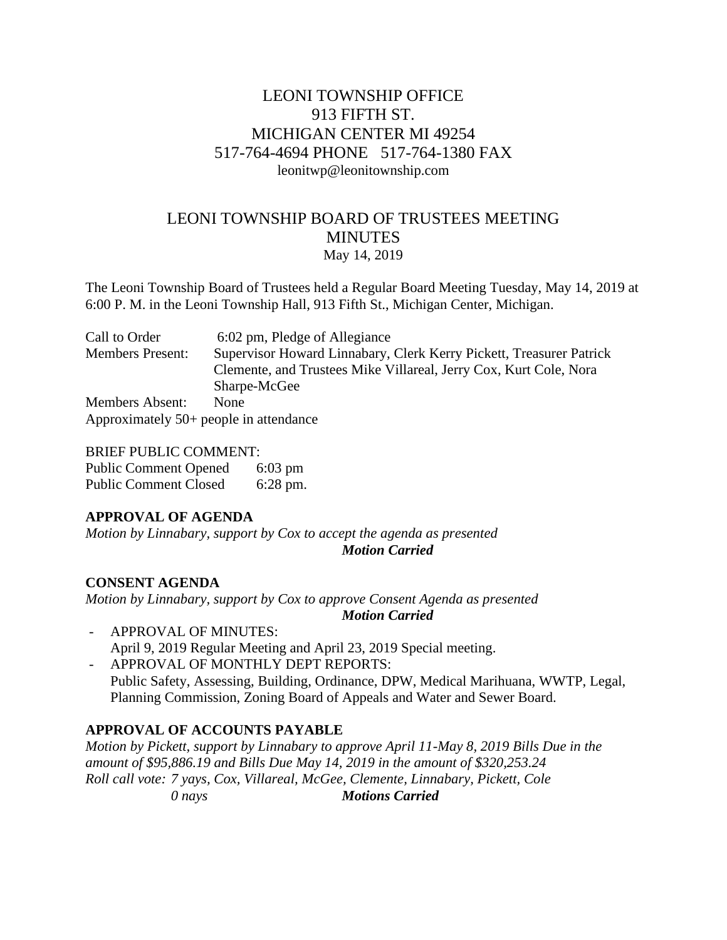# LEONI TOWNSHIP OFFICE 913 FIFTH ST. MICHIGAN CENTER MI 49254 517-764-4694 PHONE 517-764-1380 FAX leonitwp@leonitownship.com

# LEONI TOWNSHIP BOARD OF TRUSTEES MEETING **MINUTES** May 14, 2019

The Leoni Township Board of Trustees held a Regular Board Meeting Tuesday, May 14, 2019 at 6:00 P. M. in the Leoni Township Hall, 913 Fifth St., Michigan Center, Michigan.

| Call to Order           | 6:02 pm, Pledge of Allegiance                                       |
|-------------------------|---------------------------------------------------------------------|
| <b>Members Present:</b> | Supervisor Howard Linnabary, Clerk Kerry Pickett, Treasurer Patrick |
|                         | Clemente, and Trustees Mike Villareal, Jerry Cox, Kurt Cole, Nora   |
|                         | Sharpe-McGee                                                        |
| <b>Members Absent:</b>  | <b>None</b>                                                         |
|                         | Approximately $50+$ people in attendance                            |

BRIEF PUBLIC COMMENT: Public Comment Opened 6:03 pm Public Comment Closed 6:28 pm.

## **APPROVAL OF AGENDA**

*Motion by Linnabary, support by Cox to accept the agenda as presented Motion Carried*

## **CONSENT AGENDA**

*Motion by Linnabary, support by Cox to approve Consent Agenda as presented Motion Carried*

- APPROVAL OF MINUTES: April 9, 2019 Regular Meeting and April 23, 2019 Special meeting.
- APPROVAL OF MONTHLY DEPT REPORTS: Public Safety, Assessing, Building, Ordinance, DPW, Medical Marihuana, WWTP, Legal, Planning Commission, Zoning Board of Appeals and Water and Sewer Board.

## **APPROVAL OF ACCOUNTS PAYABLE**

*Motion by Pickett, support by Linnabary to approve April 11-May 8, 2019 Bills Due in the amount of \$95,886.19 and Bills Due May 14, 2019 in the amount of \$320,253.24 Roll call vote: 7 yays, Cox, Villareal, McGee, Clemente, Linnabary, Pickett, Cole 0 nays Motions Carried*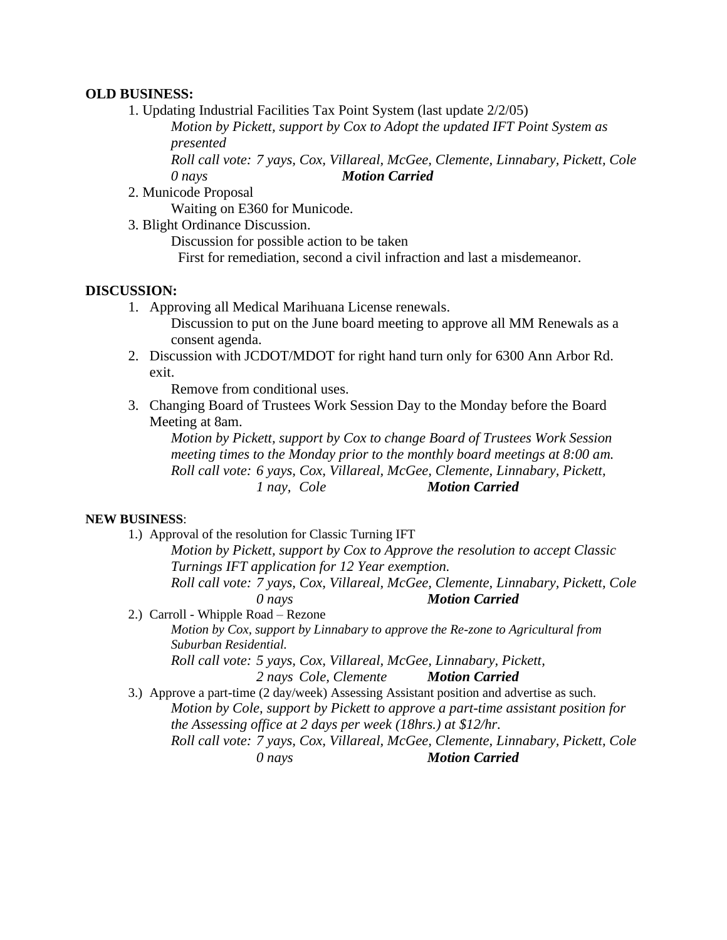#### **OLD BUSINESS:**

1. Updating Industrial Facilities Tax Point System (last update 2/2/05)

*Motion by Pickett, support by Cox to Adopt the updated IFT Point System as presented*

*Roll call vote: 7 yays, Cox, Villareal, McGee, Clemente, Linnabary, Pickett, Cole 0 nays Motion Carried*

2. Municode Proposal

Waiting on E360 for Municode.

3. Blight Ordinance Discussion.

Discussion for possible action to be taken

First for remediation, second a civil infraction and last a misdemeanor.

#### **DISCUSSION:**

1. Approving all Medical Marihuana License renewals.

Discussion to put on the June board meeting to approve all MM Renewals as a consent agenda.

2. Discussion with JCDOT/MDOT for right hand turn only for 6300 Ann Arbor Rd. exit.

Remove from conditional uses.

3. Changing Board of Trustees Work Session Day to the Monday before the Board Meeting at 8am.

*Motion by Pickett, support by Cox to change Board of Trustees Work Session meeting times to the Monday prior to the monthly board meetings at 8:00 am. Roll call vote: 6 yays, Cox, Villareal, McGee, Clemente, Linnabary, Pickett, 1 nay, Cole Motion Carried*

#### **NEW BUSINESS**:

1.) Approval of the resolution for Classic Turning IFT

*Motion by Pickett, support by Cox to Approve the resolution to accept Classic Turnings IFT application for 12 Year exemption. Roll call vote: 7 yays, Cox, Villareal, McGee, Clemente, Linnabary, Pickett, Cole*

*0 nays Motion Carried*

2.) Carroll - Whipple Road – Rezone

*Motion by Cox, support by Linnabary to approve the Re-zone to Agricultural from Suburban Residential.*

*Roll call vote: 5 yays, Cox, Villareal, McGee, Linnabary, Pickett,* 

*2 nays Cole, Clemente Motion Carried*

3.) Approve a part-time (2 day/week) Assessing Assistant position and advertise as such. *Motion by Cole, support by Pickett to approve a part-time assistant position for the Assessing office at 2 days per week (18hrs.) at \$12/hr. Roll call vote: 7 yays, Cox, Villareal, McGee, Clemente, Linnabary, Pickett, Cole 0 nays Motion Carried*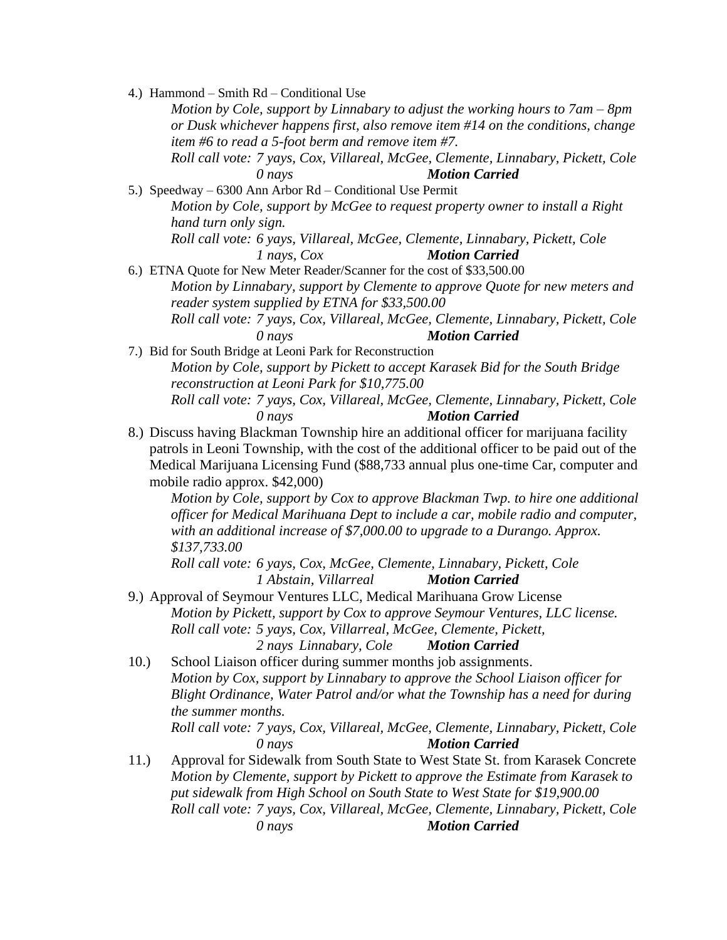4.) Hammond – Smith Rd – Conditional Use *Motion by Cole, support by Linnabary to adjust the working hours to 7am – 8pm or Dusk whichever happens first, also remove item #14 on the conditions, change item #6 to read a 5-foot berm and remove item #7. Roll call vote: 7 yays, Cox, Villareal, McGee, Clemente, Linnabary, Pickett, Cole 0 nays Motion Carried* 5.) Speedway – 6300 Ann Arbor Rd – Conditional Use Permit *Motion by Cole, support by McGee to request property owner to install a Right hand turn only sign. Roll call vote: 6 yays, Villareal, McGee, Clemente, Linnabary, Pickett, Cole 1 nays, Cox Motion Carried* 6.) ETNA Quote for New Meter Reader/Scanner for the cost of \$33,500.00 *Motion by Linnabary, support by Clemente to approve Quote for new meters and reader system supplied by ETNA for \$33,500.00 Roll call vote: 7 yays, Cox, Villareal, McGee, Clemente, Linnabary, Pickett, Cole 0 nays Motion Carried* 7.) Bid for South Bridge at Leoni Park for Reconstruction *Motion by Cole, support by Pickett to accept Karasek Bid for the South Bridge reconstruction at Leoni Park for \$10,775.00 Roll call vote: 7 yays, Cox, Villareal, McGee, Clemente, Linnabary, Pickett, Cole 0 nays Motion Carried* 8.) Discuss having Blackman Township hire an additional officer for marijuana facility patrols in Leoni Township, with the cost of the additional officer to be paid out of the Medical Marijuana Licensing Fund (\$88,733 annual plus one-time Car, computer and mobile radio approx. \$42,000) *Motion by Cole, support by Cox to approve Blackman Twp. to hire one additional officer for Medical Marihuana Dept to include a car, mobile radio and computer, with an additional increase of \$7,000.00 to upgrade to a Durango. Approx. \$137,733.00 Roll call vote: 6 yays, Cox, McGee, Clemente, Linnabary, Pickett, Cole 1 Abstain, Villarreal Motion Carried* 9.) Approval of Seymour Ventures LLC, Medical Marihuana Grow License *Motion by Pickett, support by Cox to approve Seymour Ventures, LLC license. Roll call vote: 5 yays, Cox, Villarreal, McGee, Clemente, Pickett, 2 nays Linnabary, Cole Motion Carried* 10.) School Liaison officer during summer months job assignments. *Motion by Cox, support by Linnabary to approve the School Liaison officer for Blight Ordinance, Water Patrol and/or what the Township has a need for during the summer months. Roll call vote: 7 yays, Cox, Villareal, McGee, Clemente, Linnabary, Pickett, Cole 0 nays Motion Carried* 11.) Approval for Sidewalk from South State to West State St. from Karasek Concrete *Motion by Clemente, support by Pickett to approve the Estimate from Karasek to put sidewalk from High School on South State to West State for \$19,900.00 Roll call vote: 7 yays, Cox, Villareal, McGee, Clemente, Linnabary, Pickett, Cole 0 nays Motion Carried*